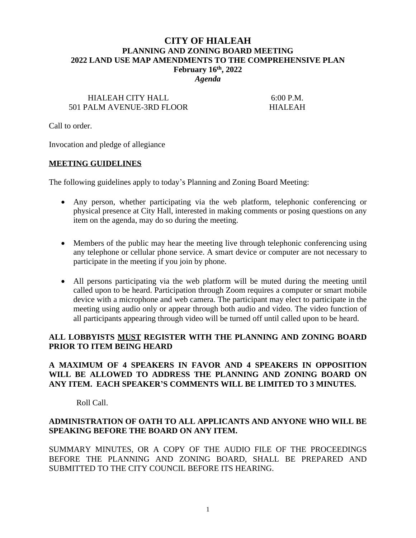# **CITY OF HIALEAH PLANNING AND ZONING BOARD MEETING 2022 LAND USE MAP AMENDMENTS TO THE COMPREHENSIVE PLAN February 16th, 2022**

*Agenda*

# HIALEAH CITY HALL 6:00 P.M. 501 PALM AVENUE-3RD FLOOR HIALEAH

Call to order.

Invocation and pledge of allegiance

#### **MEETING GUIDELINES**

The following guidelines apply to today's Planning and Zoning Board Meeting:

- Any person, whether participating via the web platform, telephonic conferencing or physical presence at City Hall, interested in making comments or posing questions on any item on the agenda, may do so during the meeting.
- Members of the public may hear the meeting live through telephonic conferencing using any telephone or cellular phone service. A smart device or computer are not necessary to participate in the meeting if you join by phone.
- All persons participating via the web platform will be muted during the meeting until called upon to be heard. Participation through Zoom requires a computer or smart mobile device with a microphone and web camera. The participant may elect to participate in the meeting using audio only or appear through both audio and video. The video function of all participants appearing through video will be turned off until called upon to be heard.

#### **ALL LOBBYISTS MUST REGISTER WITH THE PLANNING AND ZONING BOARD PRIOR TO ITEM BEING HEARD**

### **A MAXIMUM OF 4 SPEAKERS IN FAVOR AND 4 SPEAKERS IN OPPOSITION WILL BE ALLOWED TO ADDRESS THE PLANNING AND ZONING BOARD ON ANY ITEM. EACH SPEAKER'S COMMENTS WILL BE LIMITED TO 3 MINUTES.**

Roll Call.

#### **ADMINISTRATION OF OATH TO ALL APPLICANTS AND ANYONE WHO WILL BE SPEAKING BEFORE THE BOARD ON ANY ITEM.**

SUMMARY MINUTES, OR A COPY OF THE AUDIO FILE OF THE PROCEEDINGS BEFORE THE PLANNING AND ZONING BOARD, SHALL BE PREPARED AND SUBMITTED TO THE CITY COUNCIL BEFORE ITS HEARING.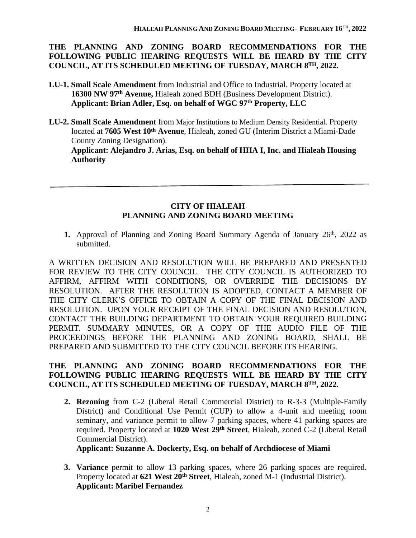### **THE PLANNING AND ZONING BOARD RECOMMENDATIONS FOR THE FOLLOWING PUBLIC HEARING REQUESTS WILL BE HEARD BY THE CITY COUNCIL, AT ITS SCHEDULED MEETING OF TUESDAY, MARCH 8TH, 2022.**

- **LU-1. Small Scale Amendment** from Industrial and Office to Industrial. Property located at  **16300 NW 97th Avenue,** Hialeah zoned BDH (Business Development District). **Applicant: Brian Adler, Esq. on behalf of WGC 97th Property, LLC**
- **LU-2. Small Scale Amendment** from Major Institutions to Medium Density Residential. Property located at **7605 West 10th Avenue**, Hialeah, zoned GU (Interim District a Miami-Dade County Zoning Designation).

 **Applicant: Alejandro J. Arias, Esq. on behalf of HHA I, Inc. and Hialeah Housing Authority**

# **CITY OF HIALEAH PLANNING AND ZONING BOARD MEETING**

1. Approval of Planning and Zoning Board Summary Agenda of January 26<sup>th</sup>, 2022 as submitted.

A WRITTEN DECISION AND RESOLUTION WILL BE PREPARED AND PRESENTED FOR REVIEW TO THE CITY COUNCIL. THE CITY COUNCIL IS AUTHORIZED TO AFFIRM, AFFIRM WITH CONDITIONS, OR OVERRIDE THE DECISIONS BY RESOLUTION. AFTER THE RESOLUTION IS ADOPTED, CONTACT A MEMBER OF THE CITY CLERK'S OFFICE TO OBTAIN A COPY OF THE FINAL DECISION AND RESOLUTION. UPON YOUR RECEIPT OF THE FINAL DECISION AND RESOLUTION, CONTACT THE BUILDING DEPARTMENT TO OBTAIN YOUR REQUIRED BUILDING PERMIT. SUMMARY MINUTES, OR A COPY OF THE AUDIO FILE OF THE PROCEEDINGS BEFORE THE PLANNING AND ZONING BOARD, SHALL BE PREPARED AND SUBMITTED TO THE CITY COUNCIL BEFORE ITS HEARING.

# **THE PLANNING AND ZONING BOARD RECOMMENDATIONS FOR THE FOLLOWING PUBLIC HEARING REQUESTS WILL BE HEARD BY THE CITY COUNCIL, AT ITS SCHEDULED MEETING OF TUESDAY, MARCH 8TH, 2022.**

**2. Rezoning** from C-2 (Liberal Retail Commercial District) to R-3-3 (Multiple-Family District) and Conditional Use Permit (CUP) to allow a 4-unit and meeting room seminary, and variance permit to allow 7 parking spaces, where 41 parking spaces are required. Property located at **1020 West 29th Street**, Hialeah, zoned C-2 (Liberal Retail Commercial District).

**Applicant: Suzanne A. Dockerty, Esq. on behalf of Archdiocese of Miami**

**3. Variance** permit to allow 13 parking spaces, where 26 parking spaces are required. Property located at **621 West 20th Street**, Hialeah, zoned M-1 (Industrial District). **Applicant: Maribel Fernandez**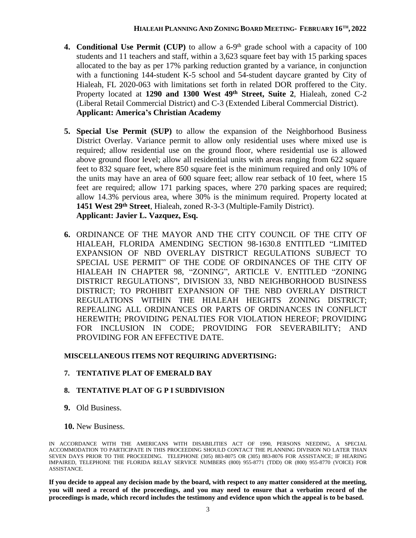- **4. Conditional Use Permit (CUP)** to allow a 6-9th grade school with a capacity of 100 students and 11 teachers and staff, within a 3,623 square feet bay with 15 parking spaces allocated to the bay as per 17% parking reduction granted by a variance, in conjunction with a functioning 144-student K-5 school and 54-student daycare granted by City of Hialeah, FL 2020-063 with limitations set forth in related DOR proffered to the City. Property located at **1290 and 1300 West 49th Street, Suite 2**, Hialeah, zoned C-2 (Liberal Retail Commercial District) and C-3 (Extended Liberal Commercial District). **Applicant: America's Christian Academy**
- **5. Special Use Permit (SUP)** to allow the expansion of the Neighborhood Business District Overlay. Variance permit to allow only residential uses where mixed use is required; allow residential use on the ground floor, where residential use is allowed above ground floor level; allow all residential units with areas ranging from 622 square feet to 832 square feet, where 850 square feet is the minimum required and only 10% of the units may have an area of 600 square feet; allow rear setback of 10 feet, where 15 feet are required; allow 171 parking spaces, where 270 parking spaces are required; allow 14.3% pervious area, where 30% is the minimum required. Property located at **1451 West 29th Street**, Hialeah, zoned R-3-3 (Multiple-Family District). **Applicant: Javier L. Vazquez, Esq.**
- **6.** ORDINANCE OF THE MAYOR AND THE CITY COUNCIL OF THE CITY OF HIALEAH, FLORIDA AMENDING SECTION 98-1630.8 ENTITLED "LIMITED EXPANSION OF NBD OVERLAY DISTRICT REGULATIONS SUBJECT TO SPECIAL USE PERMIT" OF THE CODE OF ORDINANCES OF THE CITY OF HIALEAH IN CHAPTER 98, "ZONING", ARTICLE V. ENTITLED "ZONING DISTRICT REGULATIONS", DIVISION 33, NBD NEIGHBORHOOD BUSINESS DISTRICT; TO PROHIBIT EXPANSION OF THE NBD OVERLAY DISTRICT REGULATIONS WITHIN THE HIALEAH HEIGHTS ZONING DISTRICT; REPEALING ALL ORDINANCES OR PARTS OF ORDINANCES IN CONFLICT HEREWITH; PROVIDING PENALTIES FOR VIOLATION HEREOF; PROVIDING FOR INCLUSION IN CODE; PROVIDING FOR SEVERABILITY; AND PROVIDING FOR AN EFFECTIVE DATE.

# **MISCELLANEOUS ITEMS NOT REQUIRING ADVERTISING:**

# **7. TENTATIVE PLAT OF EMERALD BAY**

# **8. TENTATIVE PLAT OF G P I SUBDIVISION**

- **9.** Old Business.
- **10.** New Business.

If you decide to appeal any decision made by the board, with respect to any matter considered at the meeting, you will need a record of the proceedings, and you may need to ensure that a verbatim record of the **proceedings is made, which record includes the testimony and evidence upon which the appeal is to be based.**

IN ACCORDANCE WITH THE AMERICANS WITH DISABILITIES ACT OF 1990, PERSONS NEEDING, A SPECIAL ACCOMMODATION TO PARTICIPATE IN THIS PROCEEDING SHOULD CONTACT THE PLANNING DIVISION NO LATER THAN SEVEN DAYS PRIOR TO THE PROCEEDING. TELEPHONE (305) 883-8075 OR (305) 883-8076 FOR ASSISTANCE; IF HEARING IMPAIRED, TELEPHONE THE FLORIDA RELAY SERVICE NUMBERS (800) 955-8771 (TDD) OR (800) 955-8770 (VOICE) FOR ASSISTANCE.